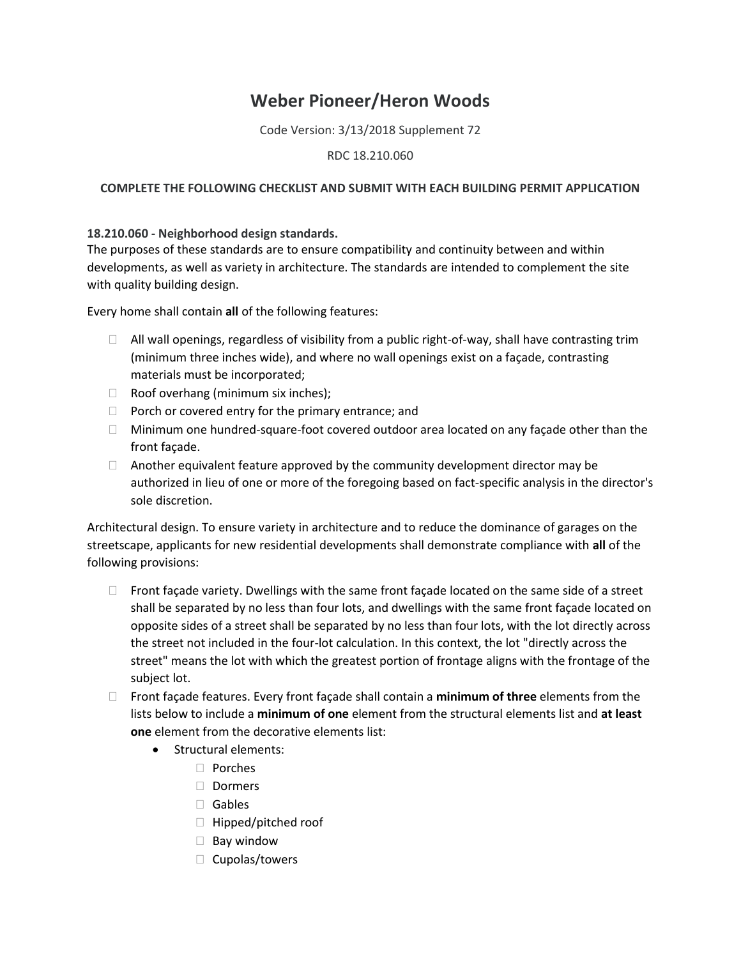## **Weber Pioneer/Heron Woods**

Code Version: 3/13/2018 Supplement 72

RDC 18.210.060

## **COMPLETE THE FOLLOWING CHECKLIST AND SUBMIT WITH EACH BUILDING PERMIT APPLICATION**

## **18.210.060 - Neighborhood design standards.**

The purposes of these standards are to ensure compatibility and continuity between and within developments, as well as variety in architecture. The standards are intended to complement the site with quality building design.

Every home shall contain **all** of the following features:

- $\Box$  All wall openings, regardless of visibility from a public right-of-way, shall have contrasting trim (minimum three inches wide), and where no wall openings exist on a façade, contrasting materials must be incorporated;
- $\Box$  Roof overhang (minimum six inches);
- $\Box$  Porch or covered entry for the primary entrance; and
- $\Box$  Minimum one hundred-square-foot covered outdoor area located on any façade other than the front façade.
- $\Box$  Another equivalent feature approved by the community development director may be authorized in lieu of one or more of the foregoing based on fact-specific analysis in the director's sole discretion.

Architectural design. To ensure variety in architecture and to reduce the dominance of garages on the streetscape, applicants for new residential developments shall demonstrate compliance with **all** of the following provisions:

- $\Box$  Front façade variety. Dwellings with the same front façade located on the same side of a street shall be separated by no less than four lots, and dwellings with the same front façade located on opposite sides of a street shall be separated by no less than four lots, with the lot directly across the street not included in the four-lot calculation. In this context, the lot "directly across the street" means the lot with which the greatest portion of frontage aligns with the frontage of the subject lot.
- Front façade features. Every front façade shall contain a **minimum of three** elements from the lists below to include a **minimum of one** element from the structural elements list and **at least one** element from the decorative elements list:
	- Structural elements:
		- Porches
		- Dormers
		- Gables
		- $\Box$  Hipped/pitched roof
		- $\Box$  Bay window
		- $\Box$  Cupolas/towers